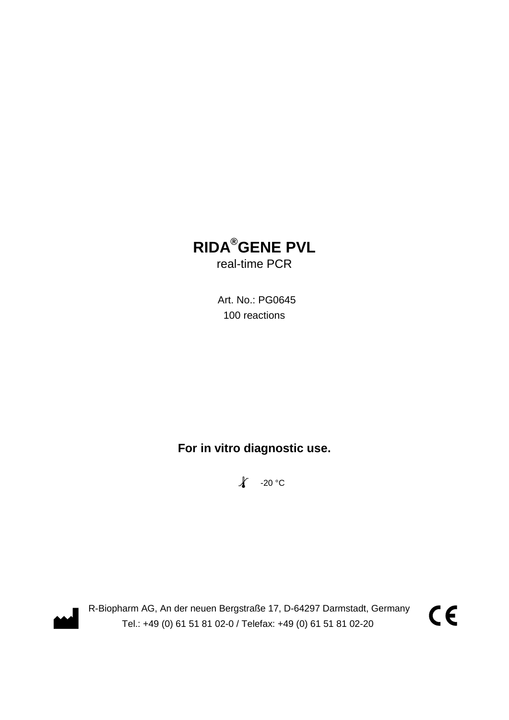# **RIDA®GENE PVL**

real-time PCR

 Art. No.: PG0645 100 reactions

**For in vitro diagnostic use.**

 $\chi$  -20 °C



R-Biopharm AG, An der neuen Bergstraße 17, D-64297 Darmstadt, Germany Tel.: +49 (0) 61 51 81 02-0 / Telefax: +49 (0) 61 51 81 02-20

 $C \in$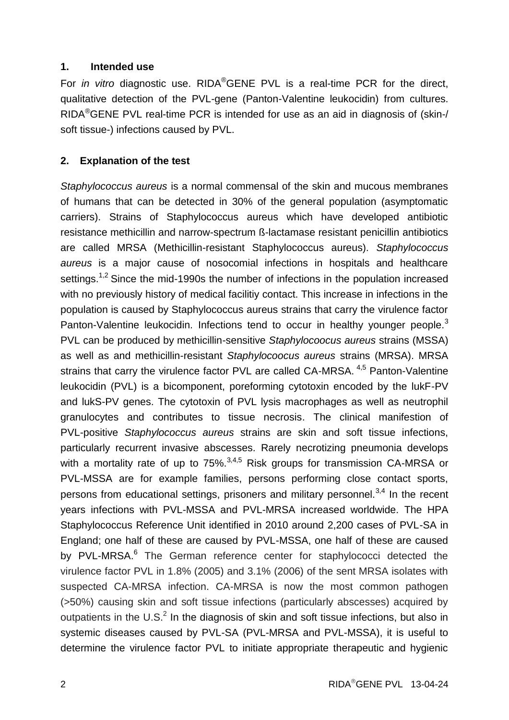#### **1. Intended use**

For *in vitro* diagnostic use. RIDA®GENE PVL is a real-time PCR for the direct, qualitative detection of the PVL-gene (Panton-Valentine leukocidin) from cultures. RIDA®GENE PVL real-time PCR is intended for use as an aid in diagnosis of (skin-/ soft tissue-) infections caused by PVL.

#### **2. Explanation of the test**

*Staphylococcus aureus* is a normal commensal of the skin and mucous membranes of humans that can be detected in 30% of the general population (asymptomatic carriers). Strains of Staphylococcus aureus which have developed antibiotic resistance methicillin and narrow-spectrum ß-lactamase resistant penicillin antibiotics are called MRSA (Methicillin-resistant Staphylococcus aureus). *Staphylococcus aureus* is a major cause of nosocomial infections in hospitals and healthcare settings.<sup>1,2</sup> Since the mid-1990s the number of infections in the population increased with no previously history of medical facilitiy contact. This increase in infections in the population is caused by Staphylococcus aureus strains that carry the virulence factor Panton-Valentine leukocidin. Infections tend to occur in healthy vounger people.<sup>3</sup> PVL can be produced by methicillin-sensitive *Staphylocoocus aureus* strains (MSSA) as well as and methicillin-resistant *Staphylocoocus aureus* strains (MRSA). MRSA strains that carry the virulence factor PVL are called CA-MRSA.<sup>4,5</sup> Panton-Valentine leukocidin (PVL) is a bicomponent, poreforming cytotoxin encoded by the lukF-PV and lukS-PV genes. The cytotoxin of PVL lysis macrophages as well as neutrophil granulocytes and contributes to tissue necrosis. The clinical manifestion of PVL-positive *Staphylococcus aureus* strains are skin and soft tissue infections, particularly recurrent invasive abscesses. Rarely necrotizing pneumonia develops with a mortality rate of up to  $75\%$ ,  $3,4,5$  Risk groups for transmission CA-MRSA or PVL-MSSA are for example families, persons performing close contact sports, persons from educational settings, prisoners and military personnel.<sup>3,4</sup> In the recent years infections with PVL-MSSA and PVL-MRSA increased worldwide. The HPA Staphylococcus Reference Unit identified in 2010 around 2,200 cases of PVL-SA in England; one half of these are caused by PVL-MSSA, one half of these are caused by PVL-MRSA.<sup>6</sup> The German reference center for staphylococci detected the virulence factor PVL in 1.8% (2005) and 3.1% (2006) of the sent MRSA isolates with suspected CA-MRSA infection. CA-MRSA is now the most common pathogen (>50%) causing skin and soft tissue infections (particularly abscesses) acquired by outpatients in the U.S. $<sup>2</sup>$  In the diagnosis of skin and soft tissue infections, but also in</sup> systemic diseases caused by PVL-SA (PVL-MRSA and PVL-MSSA), it is useful to determine the virulence factor PVL to initiate appropriate therapeutic and hygienic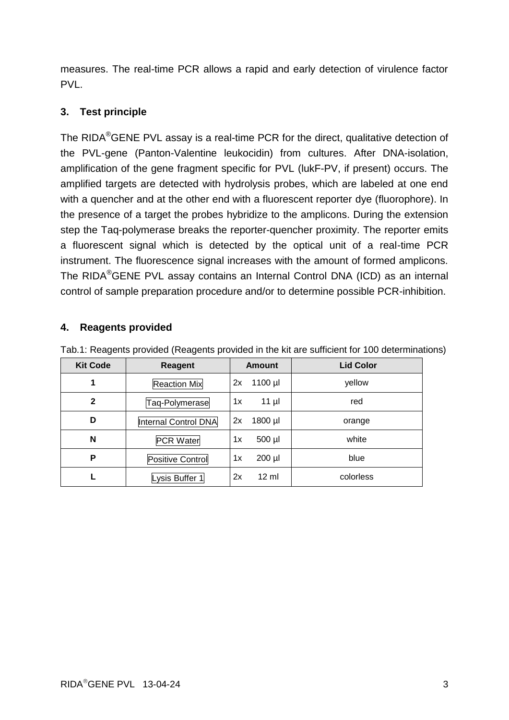measures. The real-time PCR allows a rapid and early detection of virulence factor PVL.

### **3. Test principle**

The RIDA<sup>®</sup>GENE PVL assay is a real-time PCR for the direct, qualitative detection of the PVL-gene (Panton-Valentine leukocidin) from cultures. After DNA-isolation, amplification of the gene fragment specific for PVL (lukF-PV, if present) occurs. The amplified targets are detected with hydrolysis probes, which are labeled at one end with a quencher and at the other end with a fluorescent reporter dye (fluorophore). In the presence of a target the probes hybridize to the amplicons. During the extension step the Taq-polymerase breaks the reporter-quencher proximity. The reporter emits a fluorescent signal which is detected by the optical unit of a real-time PCR instrument. The fluorescence signal increases with the amount of formed amplicons. The RIDA®GENE PVL assay contains an Internal Control DNA (ICD) as an internal control of sample preparation procedure and/or to determine possible PCR-inhibition.

#### **4. Reagents provided**

| <b>Kit Code</b> | Reagent              | <b>Amount</b>         | <b>Lid Color</b> |
|-----------------|----------------------|-----------------------|------------------|
| 1               | <b>Reaction Mix</b>  | 1100 µl<br>2x         | yellow           |
| $\mathbf{2}$    | Taq-Polymerase       | 1x<br>$11$ µl         | red              |
| D               | Internal Control DNA | 1800 µl<br>2x         | orange           |
| N               | <b>PCR Water</b>     | 500 µl<br>1x          | white            |
| P               | Positive Control     | 200 µl<br>1x          | blue             |
|                 | Lysis Buffer 1       | $12 \text{ ml}$<br>2x | colorless        |

Tab.1: Reagents provided (Reagents provided in the kit are sufficient for 100 determinations)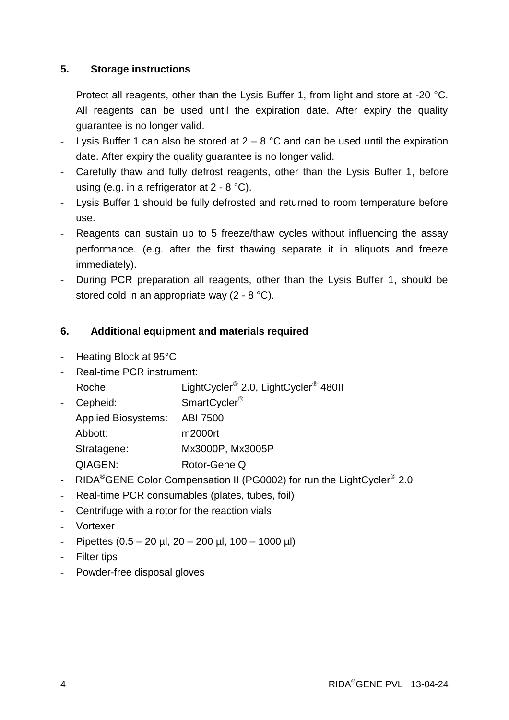### **5. Storage instructions**

- Protect all reagents, other than the Lysis Buffer 1, from light and store at -20 °C. All reagents can be used until the expiration date. After expiry the quality guarantee is no longer valid.
- Lysis Buffer 1 can also be stored at  $2 8$  °C and can be used until the expiration date. After expiry the quality guarantee is no longer valid.
- Carefully thaw and fully defrost reagents, other than the Lysis Buffer 1, before using (e.g. in a refrigerator at 2 - 8 °C).
- Lysis Buffer 1 should be fully defrosted and returned to room temperature before use.
- Reagents can sustain up to 5 freeze/thaw cycles without influencing the assay performance. (e.g. after the first thawing separate it in aliquots and freeze immediately).
- During PCR preparation all reagents, other than the Lysis Buffer 1, should be stored cold in an appropriate way (2 - 8 °C).

#### **6. Additional equipment and materials required**

- Heating Block at 95°C
- Real-time PCR instrument:
- Roche: LightCycler<sup>®</sup> 2.0, LightCycler<sup>®</sup> 480II
- Cepheid: SmartCycler<sup>®</sup>
	- Applied Biosystems: ABI 7500
	- Abbott: m2000rt
	- Stratagene: Mx3000P, Mx3005P
	- QIAGEN: Rotor-Gene Q
- RIDA<sup>®</sup>GENE Color Compensation II (PG0002) for run the LightCycler<sup>®</sup> 2.0
- Real-time PCR consumables (plates, tubes, foil)
- Centrifuge with a rotor for the reaction vials
- Vortexer
- $-$  Pipettes (0.5 20 µl, 20 200 µl, 100 1000 µl)
- Filter tips
- Powder-free disposal gloves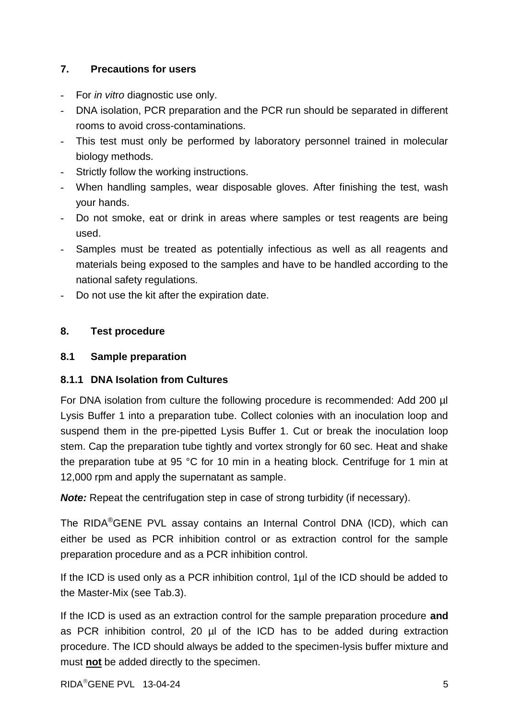## **7. Precautions for users**

- For *in vit*r*o* diagnostic use only.
- DNA isolation, PCR preparation and the PCR run should be separated in different rooms to avoid cross-contaminations.
- This test must only be performed by laboratory personnel trained in molecular biology methods.
- Strictly follow the working instructions.
- When handling samples, wear disposable gloves. After finishing the test, wash your hands.
- Do not smoke, eat or drink in areas where samples or test reagents are being used.
- Samples must be treated as potentially infectious as well as all reagents and materials being exposed to the samples and have to be handled according to the national safety regulations.
- Do not use the kit after the expiration date.

#### **8. Test procedure**

#### **8.1 Sample preparation**

#### **8.1.1 DNA Isolation from Cultures**

For DNA isolation from culture the following procedure is recommended: Add 200 µl Lysis Buffer 1 into a preparation tube. Collect colonies with an inoculation loop and suspend them in the pre-pipetted Lysis Buffer 1. Cut or break the inoculation loop stem. Cap the preparation tube tightly and vortex strongly for 60 sec. Heat and shake the preparation tube at 95 °C for 10 min in a heating block. Centrifuge for 1 min at 12,000 rpm and apply the supernatant as sample.

*Note:* Repeat the centrifugation step in case of strong turbidity (if necessary).

The RIDA®GENE PVL assay contains an Internal Control DNA (ICD), which can either be used as PCR inhibition control or as extraction control for the sample preparation procedure and as a PCR inhibition control.

If the ICD is used only as a PCR inhibition control, 1µl of the ICD should be added to the Master-Mix (see Tab.3).

If the ICD is used as an extraction control for the sample preparation procedure **and** as PCR inhibition control, 20 µl of the ICD has to be added during extraction procedure. The ICD should always be added to the specimen-lysis buffer mixture and must **not** be added directly to the specimen.

 $RIDA^{\circ}$ GENE PVL  $13-04-24$  5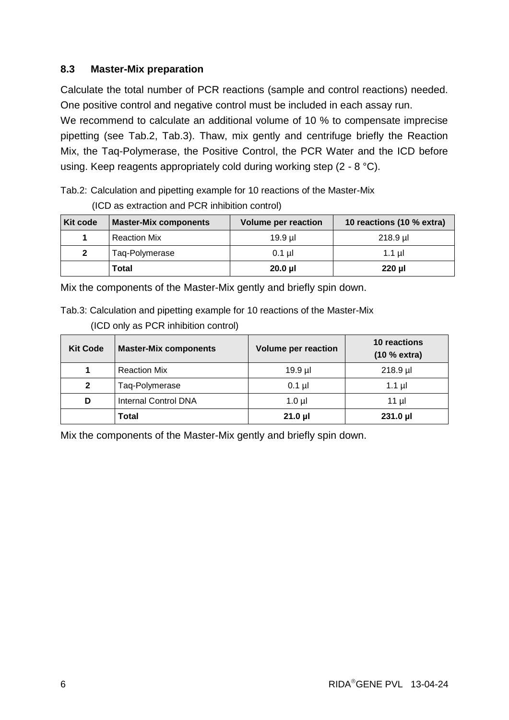#### **8.3 Master-Mix preparation**

Calculate the total number of PCR reactions (sample and control reactions) needed. One positive control and negative control must be included in each assay run.

We recommend to calculate an additional volume of 10 % to compensate imprecise pipetting (see Tab.2, Tab.3). Thaw, mix gently and centrifuge briefly the Reaction Mix, the Taq-Polymerase, the Positive Control, the PCR Water and the ICD before using. Keep reagents appropriately cold during working step (2 - 8 °C).

Tab.2: Calculation and pipetting example for 10 reactions of the Master-Mix (ICD as extraction and PCR inhibition control)

| Kit code     | <b>Master-Mix components</b> | <b>Volume per reaction</b> | 10 reactions (10 % extra) |
|--------------|------------------------------|----------------------------|---------------------------|
|              | <b>Reaction Mix</b>          | 19.9 ul                    | $218.9$ µ                 |
| $\mathbf{2}$ | Taq-Polymerase               | $0.1$ ul                   | $1.1$ ul                  |
|              | Total                        | $20.0$ µl                  | 220 µl                    |

Mix the components of the Master-Mix gently and briefly spin down.

Tab.3: Calculation and pipetting example for 10 reactions of the Master-Mix (ICD only as PCR inhibition control)

| <b>Kit Code</b> | <b>Master-Mix components</b> | <b>Volume per reaction</b> | 10 reactions<br>(10 % extra) |
|-----------------|------------------------------|----------------------------|------------------------------|
|                 | <b>Reaction Mix</b>          | 19.9 µl                    | $218.9$ µl                   |
| $\mathbf{2}$    | Taq-Polymerase               | $0.1$ µl                   | $1.1$ µl                     |
| D               | <b>Internal Control DNA</b>  | $1.0 \mu$                  | $11 \mu$                     |
|                 | Total                        | $21.0 \mu$                 | $231.0 \mu$                  |

Mix the components of the Master-Mix gently and briefly spin down.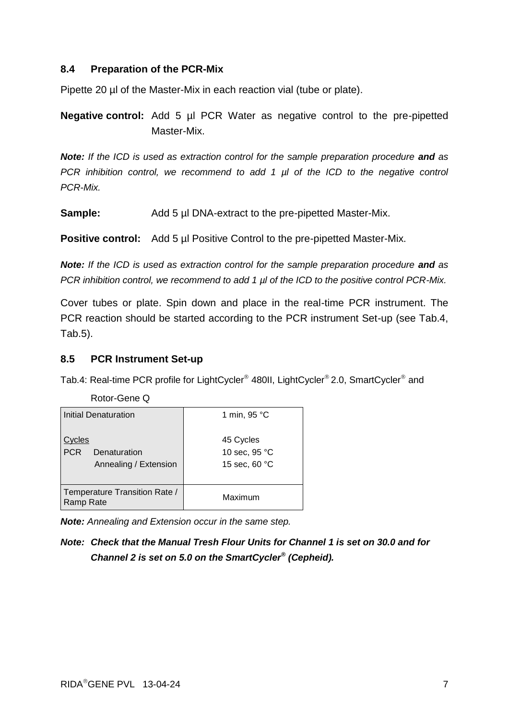#### **8.4 Preparation of the PCR-Mix**

Pipette 20 µl of the Master-Mix in each reaction vial (tube or plate).

**Negative control:** Add 5 µl PCR Water as negative control to the pre-pipetted Master-Mix.

*Note:* If the ICD is used as extraction control for the sample preparation procedure and as *PCR inhibition control, we recommend to add 1 µl of the ICD to the negative control PCR-Mix.* 

**Sample:** Add 5 µl DNA-extract to the pre-pipetted Master-Mix.

**Positive control:** Add 5 µl Positive Control to the pre-pipetted Master-Mix.

*Note:* If the ICD is used as extraction control for the sample preparation procedure and as *PCR inhibition control, we recommend to add 1 µl of the ICD to the positive control PCR-Mix.* 

Cover tubes or plate. Spin down and place in the real-time PCR instrument. The PCR reaction should be started according to the PCR instrument Set-up (see Tab.4, Tab.5).

#### **8.5 PCR Instrument Set-up**

Tab.4: Real-time PCR profile for LightCycler® 480II, LightCycler® 2.0, SmartCycler® and

Rotor-Gene Q

| Initial Denaturation                                         | 1 min, 95 °C                                         |  |  |
|--------------------------------------------------------------|------------------------------------------------------|--|--|
| ∧cles<br><b>PCR</b><br>Denaturation<br>Annealing / Extension | 45 Cycles<br>10 sec, 95 °C<br>15 sec, 60 $\degree$ C |  |  |
| Temperature Transition Rate /<br>Ramp Rate                   | Maximum                                              |  |  |

*Note: Annealing and Extension occur in the same step.*

*Note: Check that the Manual Tresh Flour Units for Channel 1 is set on 30.0 and for Channel 2 is set on 5.0 on the SmartCycler® (Cepheid).*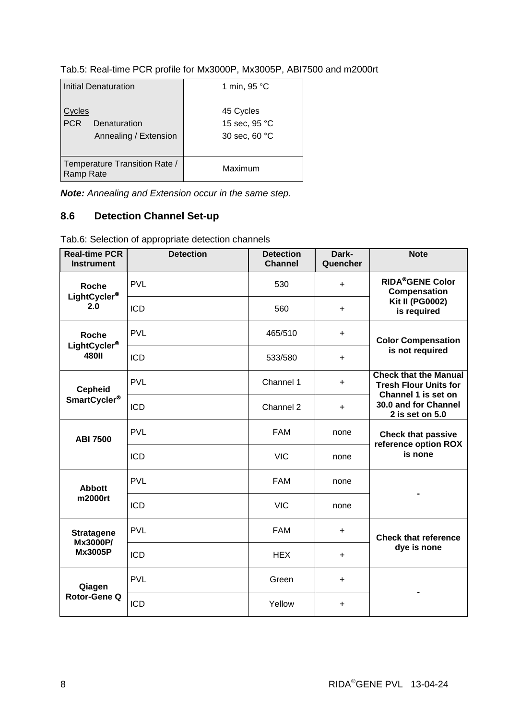| Tab.5: Real-time PCR profile for Mx3000P, Mx3005P, ABI7500 and m2000rt |  |  |
|------------------------------------------------------------------------|--|--|

| <b>Initial Denaturation</b>                                  | 1 min, 95 °C                                |  |
|--------------------------------------------------------------|---------------------------------------------|--|
| vcles<br><b>PCR</b><br>Denaturation<br>Annealing / Extension | 45 Cycles<br>15 sec, 95 °C<br>30 sec, 60 °C |  |
| Temperature Transition Rate /<br>Ramp Rate                   | Maximum                                     |  |

*Note: Annealing and Extension occur in the same step.*

# **8.6 Detection Channel Set-up**

Tab.6: Selection of appropriate detection channels

| <b>Real-time PCR</b><br><b>Instrument</b> | <b>Detection</b> | <b>Detection</b><br><b>Channel</b> | Dark-<br>Quencher | <b>Note</b>                                                        |  |
|-------------------------------------------|------------------|------------------------------------|-------------------|--------------------------------------------------------------------|--|
| <b>Roche</b>                              | <b>PVL</b>       | 530                                | $\ddot{}$         | <b>RIDA®GENE Color</b><br>Compensation                             |  |
| LightCycler <sup>®</sup><br>2.0           | <b>ICD</b>       | 560                                | $\ddot{}$         | <b>Kit II (PG0002)</b><br>is required                              |  |
| <b>Roche</b>                              | <b>PVL</b>       | 465/510                            | $\ddot{}$         | <b>Color Compensation</b>                                          |  |
| LightCycler <sup>®</sup><br><b>480II</b>  | <b>ICD</b>       | 533/580                            | $\ddot{}$         | is not required                                                    |  |
| <b>Cepheid</b>                            | <b>PVL</b>       | Channel 1                          | $\ddot{}$         | <b>Check that the Manual</b><br><b>Tresh Flour Units for</b>       |  |
| SmartCycler <sup>®</sup>                  | <b>ICD</b>       | Channel 2                          | $\ddot{}$         | Channel 1 is set on<br>30.0 and for Channel<br>$2$ is set on $5.0$ |  |
| <b>ABI 7500</b>                           | <b>PVL</b>       | <b>FAM</b>                         | none              | <b>Check that passive</b><br>reference option ROX                  |  |
|                                           | <b>ICD</b>       | <b>VIC</b>                         | none              | is none                                                            |  |
| <b>Abbott</b>                             | <b>PVL</b>       | <b>FAM</b>                         | none              |                                                                    |  |
| m2000rt                                   | <b>ICD</b>       | <b>VIC</b>                         | none              |                                                                    |  |
| <b>Stratagene</b><br>Mx3000P/             | <b>PVL</b>       | <b>FAM</b>                         | $\ddot{}$         | <b>Check that reference</b>                                        |  |
| <b>Mx3005P</b>                            | <b>ICD</b>       | <b>HEX</b>                         | $\ddot{}$         | dye is none                                                        |  |
| Qiagen<br>Rotor-Gene Q                    | <b>PVL</b>       | Green                              | $+$               |                                                                    |  |
|                                           | <b>ICD</b>       | Yellow                             | $\ddot{}$         |                                                                    |  |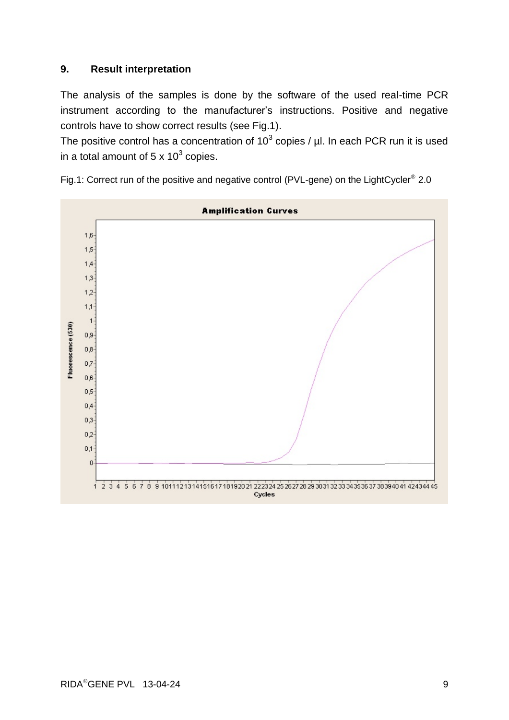#### **9. Result interpretation**

The analysis of the samples is done by the software of the used real-time PCR instrument according to the manufacturer's instructions. Positive and negative controls have to show correct results (see Fig.1).

The positive control has a concentration of 10<sup>3</sup> copies /  $\mu$ l. In each PCR run it is used in a total amount of 5 x 10 $3$  copies.



Fig.1: Correct run of the positive and negative control (PVL-gene) on the LightCycler<sup>®</sup> 2.0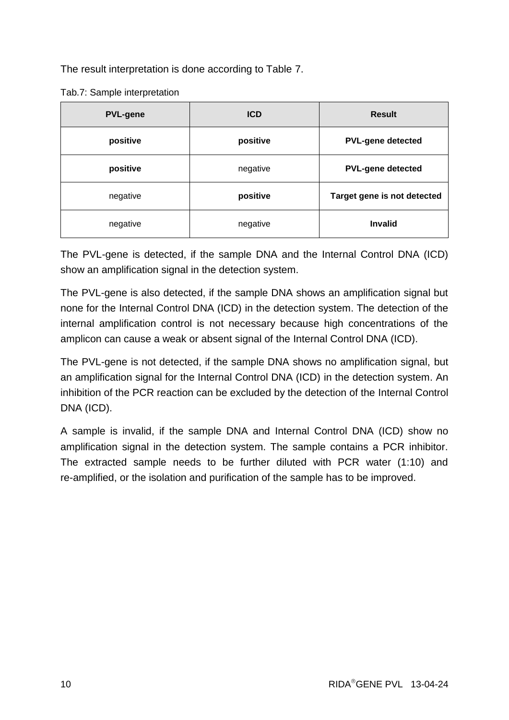The result interpretation is done according to Table 7.

Tab.7: Sample interpretation

| <b>PVL-gene</b> | <b>ICD</b> | <b>Result</b>               |
|-----------------|------------|-----------------------------|
| positive        | positive   | <b>PVL-gene detected</b>    |
| positive        | negative   | <b>PVL-gene detected</b>    |
| negative        | positive   | Target gene is not detected |
| negative        | negative   | <b>Invalid</b>              |

The PVL-gene is detected, if the sample DNA and the Internal Control DNA (ICD) show an amplification signal in the detection system.

The PVL-gene is also detected, if the sample DNA shows an amplification signal but none for the Internal Control DNA (ICD) in the detection system. The detection of the internal amplification control is not necessary because high concentrations of the amplicon can cause a weak or absent signal of the Internal Control DNA (ICD).

The PVL-gene is not detected, if the sample DNA shows no amplification signal, but an amplification signal for the Internal Control DNA (ICD) in the detection system. An inhibition of the PCR reaction can be excluded by the detection of the Internal Control DNA (ICD).

A sample is invalid, if the sample DNA and Internal Control DNA (ICD) show no amplification signal in the detection system. The sample contains a PCR inhibitor. The extracted sample needs to be further diluted with PCR water (1:10) and re-amplified, or the isolation and purification of the sample has to be improved.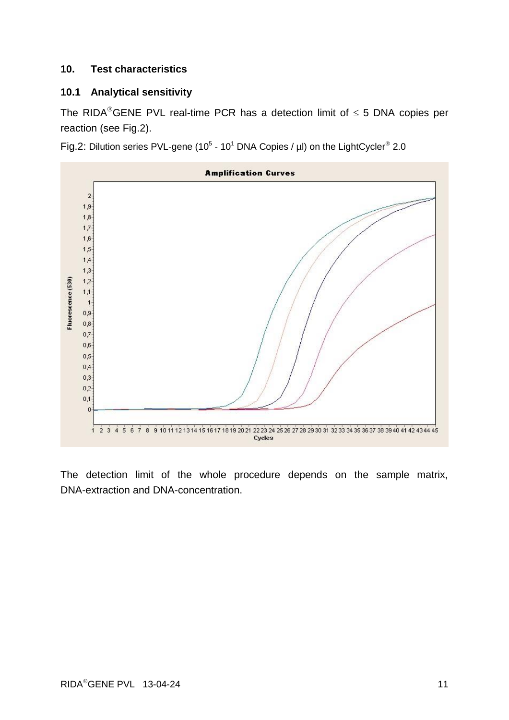#### **10. Test characteristics**

#### **10.1 Analytical sensitivity**

The RIDA®GENE PVL real-time PCR has a detection limit of  $\leq$  5 DNA copies per reaction (see Fig.2).

Fig.2: Dilution series PVL-gene (10<sup>5</sup> - 10<sup>1</sup> DNA Copies / µl) on the LightCycler<sup>®</sup> 2.0



The detection limit of the whole procedure depends on the sample matrix, DNA-extraction and DNA-concentration.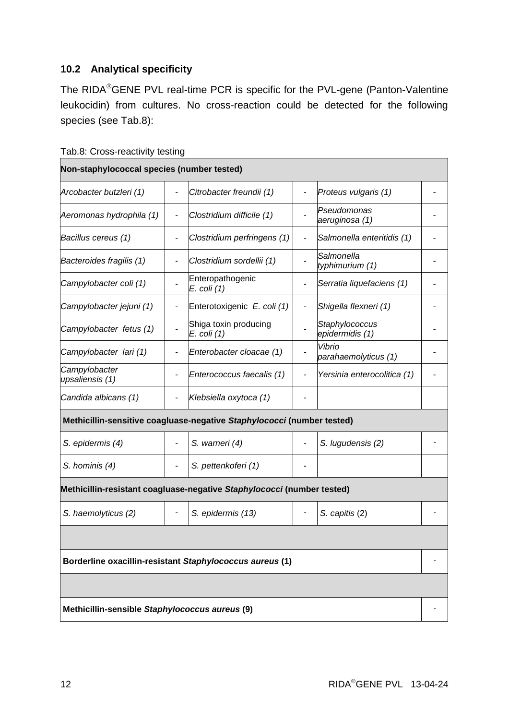# **10.2 Analytical specificity**

The RIDA®GENE PVL real-time PCR is specific for the PVL-gene (Panton-Valentine leukocidin) from cultures. No cross-reaction could be detected for the following species (see Tab.8):

|  | Tab.8: Cross-reactivity testing |  |
|--|---------------------------------|--|
|--|---------------------------------|--|

| Non-staphylococcal species (number tested)     |                          |                                                                        |                          |                                   |  |
|------------------------------------------------|--------------------------|------------------------------------------------------------------------|--------------------------|-----------------------------------|--|
| Arcobacter butzleri (1)                        |                          | Citrobacter freundii (1)                                               |                          | Proteus vulgaris (1)              |  |
| Aeromonas hydrophila (1)                       | $\overline{\phantom{a}}$ | Clostridium difficile (1)                                              |                          | Pseudomonas<br>aeruginosa (1)     |  |
| Bacillus cereus (1)                            |                          | Clostridium perfringens (1)                                            | $\overline{\phantom{0}}$ | Salmonella enteritidis (1)        |  |
| Bacteroides fragilis (1)                       |                          | Clostridium sordellii (1)                                              | $\overline{\phantom{a}}$ | Salmonella<br>typhimurium (1)     |  |
| Campylobacter coli (1)                         |                          | Enteropathogenic<br>E. coli (1)                                        |                          | Serratia liquefaciens (1)         |  |
| Campylobacter jejuni (1)                       |                          | Enterotoxigenic E. coli (1)                                            | $\overline{\phantom{a}}$ | Shigella flexneri (1)             |  |
| Campylobacter fetus (1)                        |                          | Shiga toxin producing<br>E. coli (1)                                   |                          | Staphylococcus<br>epidermidis (1) |  |
| Campylobacter lari (1)                         |                          | Enterobacter cloacae (1)                                               |                          | Vibrio<br>parahaemolyticus (1)    |  |
| Campylobacter<br>upsaliensis (1)               |                          | Enterococcus faecalis (1)                                              |                          | Yersinia enterocolitica (1)       |  |
| Candida albicans (1)                           |                          | Klebsiella oxytoca (1)                                                 |                          |                                   |  |
|                                                |                          | Methicillin-sensitive coagluase-negative Staphylococci (number tested) |                          |                                   |  |
| S. epidermis (4)                               |                          | S. warneri (4)                                                         |                          | S. lugudensis (2)                 |  |
| S. hominis (4)                                 |                          | S. pettenkoferi (1)                                                    |                          |                                   |  |
|                                                |                          | Methicillin-resistant coagluase-negative Staphylococci (number tested) |                          |                                   |  |
| S. haemolyticus (2)                            | ٠                        | S. epidermis (13)                                                      |                          | S. capitis (2)                    |  |
|                                                |                          |                                                                        |                          |                                   |  |
|                                                |                          | Borderline oxacillin-resistant Staphylococcus aureus (1)               |                          |                                   |  |
|                                                |                          |                                                                        |                          |                                   |  |
| Methicillin-sensible Staphylococcus aureus (9) |                          |                                                                        |                          |                                   |  |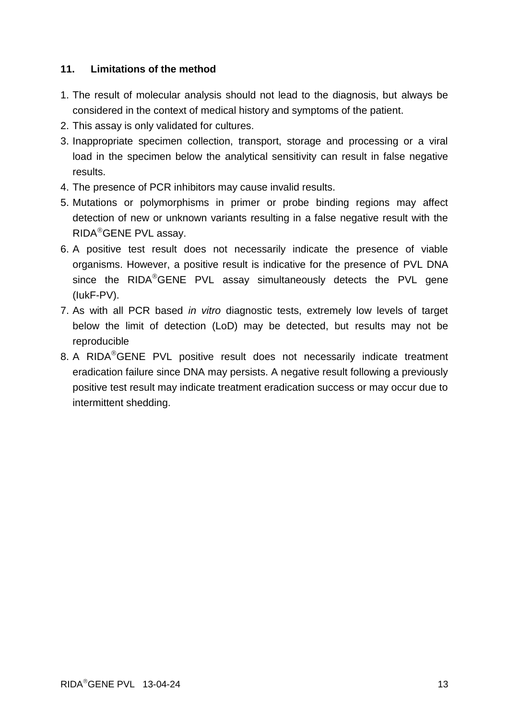#### **11. Limitations of the method**

- 1. The result of molecular analysis should not lead to the diagnosis, but always be considered in the context of medical history and symptoms of the patient.
- 2. This assay is only validated for cultures.
- 3. Inappropriate specimen collection, transport, storage and processing or a viral load in the specimen below the analytical sensitivity can result in false negative results.
- 4. The presence of PCR inhibitors may cause invalid results.
- 5. Mutations or polymorphisms in primer or probe binding regions may affect detection of new or unknown variants resulting in a false negative result with the RIDA<sup>®</sup>GENE PVL assay.
- 6. A positive test result does not necessarily indicate the presence of viable organisms. However, a positive result is indicative for the presence of PVL DNA since the  $RIDA^@GENE$  PVL assay simultaneously detects the PVL gene (IukF-PV).
- 7. As with all PCR based *in vitro* diagnostic tests, extremely low levels of target below the limit of detection (LoD) may be detected, but results may not be reproducible
- 8. A RIDA<sup>®</sup>GENE PVL positive result does not necessarily indicate treatment eradication failure since DNA may persists. A negative result following a previously positive test result may indicate treatment eradication success or may occur due to intermittent shedding.